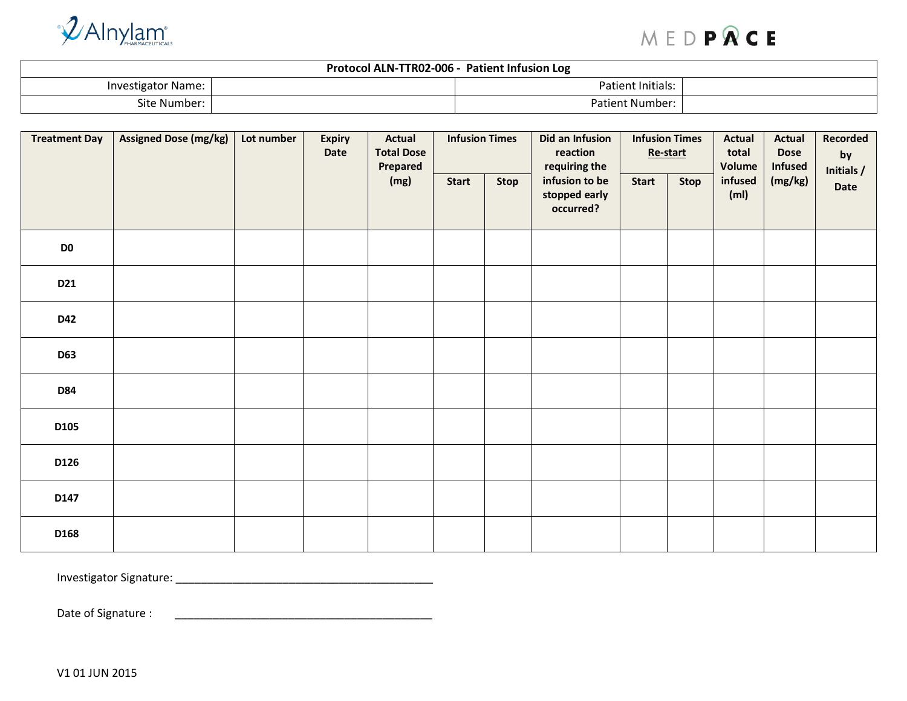

## MEDPRCE

| Protocol ALN-TTR02-006 -<br><b>Patient Infusion Log</b> |  |                        |  |  |  |  |  |  |  |
|---------------------------------------------------------|--|------------------------|--|--|--|--|--|--|--|
| Investigator Name: I                                    |  | Patient Initials:      |  |  |  |  |  |  |  |
| site Number: ۱                                          |  | <b>Patient Number:</b> |  |  |  |  |  |  |  |

| <b>Treatment Day</b> | <b>Assigned Dose (mg/kg)</b> | Lot number | <b>Expiry</b><br>Date | <b>Actual</b><br><b>Total Dose</b><br>Prepared | <b>Infusion Times</b>                        |              | Did an Infusion<br>reaction<br>requiring the | <b>Infusion Times</b><br>Re-start |  | <b>Actual</b><br>total<br>Volume<br>infused<br>(m <sub>l</sub> ) | <b>Actual</b><br><b>Dose</b><br><b>Infused</b><br>(mg/kg) | Recorded<br>by<br>Initials / |
|----------------------|------------------------------|------------|-----------------------|------------------------------------------------|----------------------------------------------|--------------|----------------------------------------------|-----------------------------------|--|------------------------------------------------------------------|-----------------------------------------------------------|------------------------------|
|                      |                              | (mg)       | <b>Start</b>          | <b>Stop</b>                                    | infusion to be<br>stopped early<br>occurred? | <b>Start</b> | Stop                                         | Date                              |  |                                                                  |                                                           |                              |
| D <sub>0</sub>       |                              |            |                       |                                                |                                              |              |                                              |                                   |  |                                                                  |                                                           |                              |
| D21                  |                              |            |                       |                                                |                                              |              |                                              |                                   |  |                                                                  |                                                           |                              |
| D42                  |                              |            |                       |                                                |                                              |              |                                              |                                   |  |                                                                  |                                                           |                              |
| <b>D63</b>           |                              |            |                       |                                                |                                              |              |                                              |                                   |  |                                                                  |                                                           |                              |
| <b>D84</b>           |                              |            |                       |                                                |                                              |              |                                              |                                   |  |                                                                  |                                                           |                              |
| D105                 |                              |            |                       |                                                |                                              |              |                                              |                                   |  |                                                                  |                                                           |                              |
| D126                 |                              |            |                       |                                                |                                              |              |                                              |                                   |  |                                                                  |                                                           |                              |
| D147                 |                              |            |                       |                                                |                                              |              |                                              |                                   |  |                                                                  |                                                           |                              |
| D168                 |                              |            |                       |                                                |                                              |              |                                              |                                   |  |                                                                  |                                                           |                              |

Investigator Signature: \_\_\_\_\_\_\_\_\_\_\_\_\_\_\_\_\_\_\_\_\_\_\_\_\_\_\_\_\_\_\_\_\_\_\_\_\_\_\_\_\_

Date of Signature : \_\_\_\_\_\_\_\_\_\_\_\_\_\_\_\_\_\_\_\_\_\_\_\_\_\_\_\_\_\_\_\_\_\_\_\_\_\_\_\_\_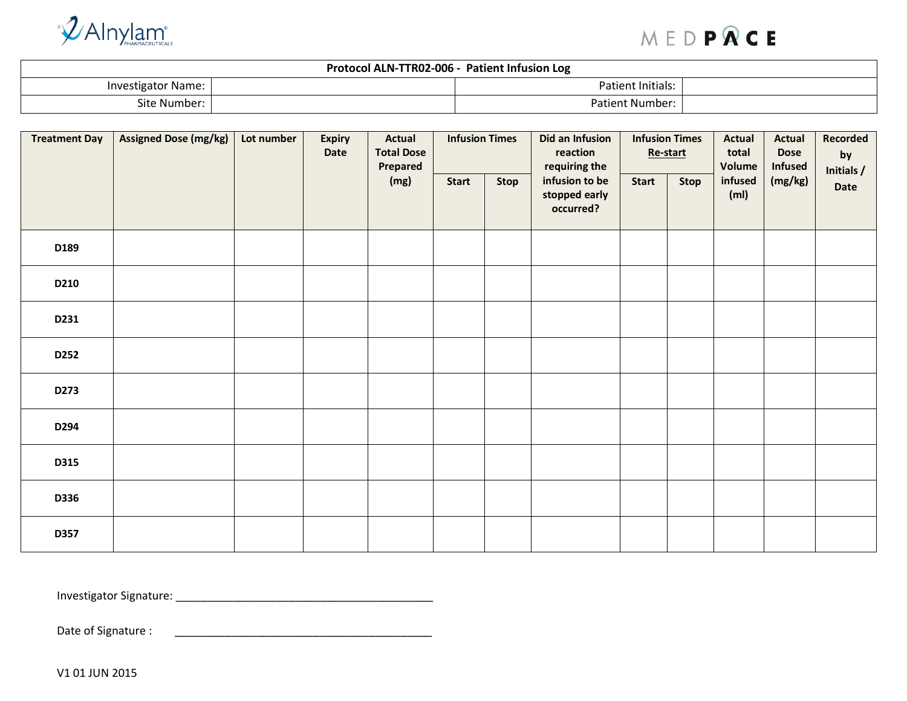

## MEDPRCE

| Protocol ALN-TTR02-006 -<br><b>Patient Infusion Log</b> |  |                        |  |  |  |  |  |  |  |
|---------------------------------------------------------|--|------------------------|--|--|--|--|--|--|--|
| Investigator Name: I                                    |  | Patient Initials:      |  |  |  |  |  |  |  |
| Site Number:                                            |  | <b>Patient Number:</b> |  |  |  |  |  |  |  |

| <b>Treatment Day</b> | <b>Assigned Dose (mg/kg)</b> | Lot number | <b>Expiry</b><br>Date | <b>Actual</b><br><b>Total Dose</b><br>Prepared | <b>Infusion Times</b> |                                              | Did an Infusion<br>reaction<br>requiring the | <b>Infusion Times</b><br>Re-start |                              | <b>Actual</b><br>total<br>Volume | <b>Actual</b><br><b>Dose</b><br>Infused | Recorded<br>by<br>Initials / |
|----------------------|------------------------------|------------|-----------------------|------------------------------------------------|-----------------------|----------------------------------------------|----------------------------------------------|-----------------------------------|------------------------------|----------------------------------|-----------------------------------------|------------------------------|
|                      |                              |            | (mg)                  | Start                                          | <b>Stop</b>           | infusion to be<br>stopped early<br>occurred? | <b>Start</b>                                 | Stop                              | infused<br>(m <sub>l</sub> ) | (mg/kg)                          | Date                                    |                              |
| D189                 |                              |            |                       |                                                |                       |                                              |                                              |                                   |                              |                                  |                                         |                              |
| D210                 |                              |            |                       |                                                |                       |                                              |                                              |                                   |                              |                                  |                                         |                              |
| D231                 |                              |            |                       |                                                |                       |                                              |                                              |                                   |                              |                                  |                                         |                              |
| D252                 |                              |            |                       |                                                |                       |                                              |                                              |                                   |                              |                                  |                                         |                              |
| D273                 |                              |            |                       |                                                |                       |                                              |                                              |                                   |                              |                                  |                                         |                              |
| D294                 |                              |            |                       |                                                |                       |                                              |                                              |                                   |                              |                                  |                                         |                              |
| D315                 |                              |            |                       |                                                |                       |                                              |                                              |                                   |                              |                                  |                                         |                              |
| D336                 |                              |            |                       |                                                |                       |                                              |                                              |                                   |                              |                                  |                                         |                              |
| D357                 |                              |            |                       |                                                |                       |                                              |                                              |                                   |                              |                                  |                                         |                              |

Investigator Signature: \_\_\_\_\_\_\_\_\_\_\_\_\_\_\_\_\_\_\_\_\_\_\_\_\_\_\_\_\_\_\_\_\_\_\_\_\_\_\_\_\_

Date of Signature : \_\_\_\_\_\_\_\_\_\_\_\_\_\_\_\_\_\_\_\_\_\_\_\_\_\_\_\_\_\_\_\_\_\_\_\_\_\_\_\_\_

V1 01 JUN 2015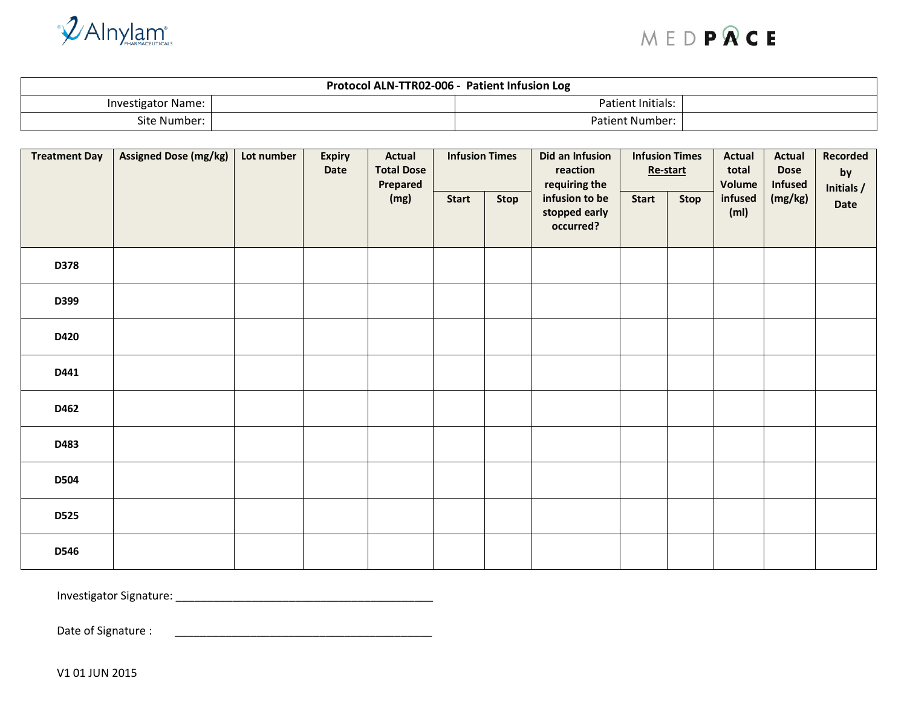



| Protocol ALN-TTR02-006 -<br><b>Patient Infusion Log</b> |  |                        |  |  |  |  |  |  |  |
|---------------------------------------------------------|--|------------------------|--|--|--|--|--|--|--|
| <b>Investigator Name:</b>                               |  | Patient Initials:      |  |  |  |  |  |  |  |
| Site Number:                                            |  | <b>Patient Number:</b> |  |  |  |  |  |  |  |

| <b>Treatment Day</b> | <b>Assigned Dose (mg/kg)</b> | Lot number | <b>Expiry</b><br>Date | Actual<br><b>Total Dose</b><br>Prepared | <b>Infusion Times</b> |                                              | Did an Infusion<br>reaction<br>requiring the | <b>Infusion Times</b><br>Re-start |                              | <b>Actual</b><br>total<br>Volume | <b>Actual</b><br><b>Dose</b><br><b>Infused</b> | Recorded<br>by<br>Initials / |
|----------------------|------------------------------|------------|-----------------------|-----------------------------------------|-----------------------|----------------------------------------------|----------------------------------------------|-----------------------------------|------------------------------|----------------------------------|------------------------------------------------|------------------------------|
|                      |                              |            | (mg)                  | <b>Start</b>                            | <b>Stop</b>           | infusion to be<br>stopped early<br>occurred? | <b>Start</b>                                 | Stop                              | infused<br>(m <sub>l</sub> ) | (mg/kg)                          | Date                                           |                              |
| D378                 |                              |            |                       |                                         |                       |                                              |                                              |                                   |                              |                                  |                                                |                              |
| D399                 |                              |            |                       |                                         |                       |                                              |                                              |                                   |                              |                                  |                                                |                              |
| D420                 |                              |            |                       |                                         |                       |                                              |                                              |                                   |                              |                                  |                                                |                              |
| D441                 |                              |            |                       |                                         |                       |                                              |                                              |                                   |                              |                                  |                                                |                              |
| D462                 |                              |            |                       |                                         |                       |                                              |                                              |                                   |                              |                                  |                                                |                              |
| D483                 |                              |            |                       |                                         |                       |                                              |                                              |                                   |                              |                                  |                                                |                              |
| <b>D504</b>          |                              |            |                       |                                         |                       |                                              |                                              |                                   |                              |                                  |                                                |                              |
| <b>D525</b>          |                              |            |                       |                                         |                       |                                              |                                              |                                   |                              |                                  |                                                |                              |
| D546                 |                              |            |                       |                                         |                       |                                              |                                              |                                   |                              |                                  |                                                |                              |

Investigator Signature: \_\_\_\_\_\_\_\_\_\_\_\_\_\_\_\_\_\_\_\_\_\_\_\_\_\_\_\_\_\_\_\_\_\_\_\_\_\_\_\_\_

Date of Signature : \_\_\_\_\_\_\_\_\_\_\_\_\_\_\_\_\_\_\_\_\_\_\_\_\_\_\_\_\_\_\_\_\_\_\_\_\_\_\_\_\_

V1 01 JUN 2015